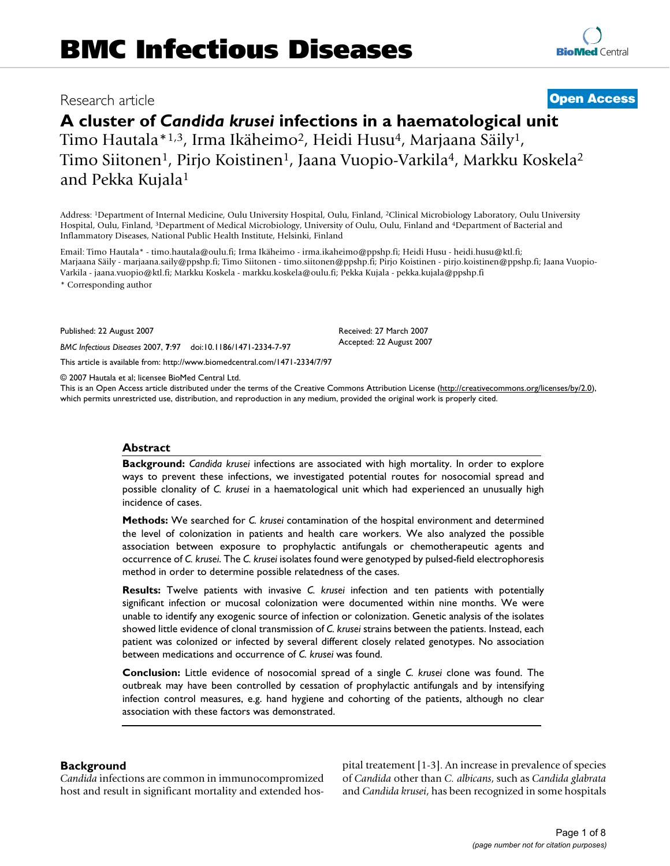# Research article **[Open Access](http://www.biomedcentral.com/info/about/charter/)**

# **A cluster of** *Candida krusei* **infections in a haematological unit** Timo Hautala\*<sup>1,3</sup>, Irma Ikäheimo<sup>2</sup>, Heidi Husu<sup>4</sup>, Marjaana Säily<sup>1</sup>,

Timo Siitonen<sup>1</sup>, Pirjo Koistinen<sup>1</sup>, Jaana Vuopio-Varkila<sup>4</sup>, Markku Koskela<sup>2</sup> and Pekka Kujala1

Address: 1Department of Internal Medicine, Oulu University Hospital, Oulu, Finland, 2Clinical Microbiology Laboratory, Oulu University Hospital, Oulu, Finland, 3Department of Medical Microbiology, University of Oulu, Oulu, Finland and 4Department of Bacterial and Inflammatory Diseases, National Public Health Institute, Helsinki, Finland

Email: Timo Hautala\* - timo.hautala@oulu.fi; Irma Ikäheimo - irma.ikaheimo@ppshp.fi; Heidi Husu - heidi.husu@ktl.fi; Marjaana Säily - marjaana.saily@ppshp.fi; Timo Siitonen - timo.siitonen@ppshp.fi; Pirjo Koistinen - pirjo.koistinen@ppshp.fi; Jaana Vuopio-Varkila - jaana.vuopio@ktl.fi; Markku Koskela - markku.koskela@oulu.fi; Pekka Kujala - pekka.kujala@ppshp.fi

\* Corresponding author

Published: 22 August 2007

*BMC Infectious Diseases* 2007, **7**:97 doi:10.1186/1471-2334-7-97

[This article is available from: http://www.biomedcentral.com/1471-2334/7/97](http://www.biomedcentral.com/1471-2334/7/97)

© 2007 Hautala et al; licensee BioMed Central Ltd.

This is an Open Access article distributed under the terms of the Creative Commons Attribution License [\(http://creativecommons.org/licenses/by/2.0\)](http://creativecommons.org/licenses/by/2.0), which permits unrestricted use, distribution, and reproduction in any medium, provided the original work is properly cited.

Received: 27 March 2007 Accepted: 22 August 2007

#### **Abstract**

**Background:** *Candida krusei* infections are associated with high mortality. In order to explore ways to prevent these infections, we investigated potential routes for nosocomial spread and possible clonality of *C. krusei* in a haematological unit which had experienced an unusually high incidence of cases.

**Methods:** We searched for *C. krusei* contamination of the hospital environment and determined the level of colonization in patients and health care workers. We also analyzed the possible association between exposure to prophylactic antifungals or chemotherapeutic agents and occurrence of *C. krusei*. The *C. krusei* isolates found were genotyped by pulsed-field electrophoresis method in order to determine possible relatedness of the cases.

**Results:** Twelve patients with invasive *C. krusei* infection and ten patients with potentially significant infection or mucosal colonization were documented within nine months. We were unable to identify any exogenic source of infection or colonization. Genetic analysis of the isolates showed little evidence of clonal transmission of *C. krusei* strains between the patients. Instead, each patient was colonized or infected by several different closely related genotypes. No association between medications and occurrence of *C. krusei* was found.

**Conclusion:** Little evidence of nosocomial spread of a single *C. krusei* clone was found. The outbreak may have been controlled by cessation of prophylactic antifungals and by intensifying infection control measures, e.g. hand hygiene and cohorting of the patients, although no clear association with these factors was demonstrated.

# **Background**

*Candida* infections are common in immunocompromized host and result in significant mortality and extended hospital treatement [1-3]. An increase in prevalence of species of *Candida* other than *C. albicans*, such as *Candida glabrata* and *Candida krusei*, has been recognized in some hospitals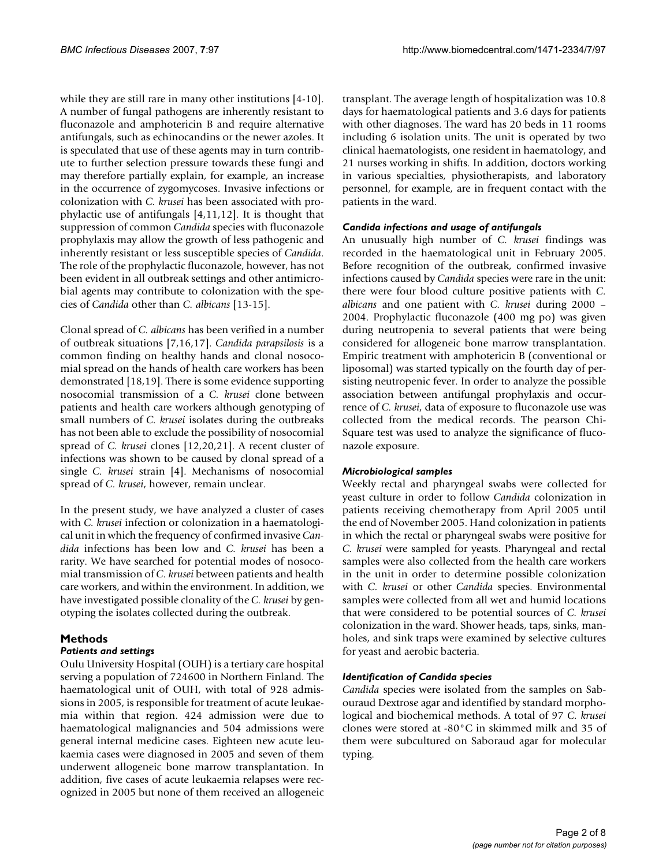while they are still rare in many other institutions [4-10]. A number of fungal pathogens are inherently resistant to fluconazole and amphotericin B and require alternative antifungals, such as echinocandins or the newer azoles. It is speculated that use of these agents may in turn contribute to further selection pressure towards these fungi and may therefore partially explain, for example, an increase in the occurrence of zygomycoses. Invasive infections or colonization with *C. krusei* has been associated with prophylactic use of antifungals [4,11,12]. It is thought that suppression of common *Candida* species with fluconazole prophylaxis may allow the growth of less pathogenic and inherently resistant or less susceptible species of *Candida*. The role of the prophylactic fluconazole, however, has not been evident in all outbreak settings and other antimicrobial agents may contribute to colonization with the species of *Candida* other than *C. albicans* [13-15].

Clonal spread of *C. albicans* has been verified in a number of outbreak situations [7,16,17]. *Candida parapsilosis* is a common finding on healthy hands and clonal nosocomial spread on the hands of health care workers has been demonstrated [18,19]. There is some evidence supporting nosocomial transmission of a *C. krusei* clone between patients and health care workers although genotyping of small numbers of *C. krusei* isolates during the outbreaks has not been able to exclude the possibility of nosocomial spread of *C. krusei* clones [12,20,21]. A recent cluster of infections was shown to be caused by clonal spread of a single *C. krusei* strain [4]. Mechanisms of nosocomial spread of *C. krusei*, however, remain unclear.

In the present study, we have analyzed a cluster of cases with *C. krusei* infection or colonization in a haematological unit in which the frequency of confirmed invasive *Candida* infections has been low and *C. krusei* has been a rarity. We have searched for potential modes of nosocomial transmission of *C. krusei* between patients and health care workers, and within the environment. In addition, we have investigated possible clonality of the *C. krusei* by genotyping the isolates collected during the outbreak.

# **Methods**

# *Patients and settings*

Oulu University Hospital (OUH) is a tertiary care hospital serving a population of 724600 in Northern Finland. The haematological unit of OUH, with total of 928 admissions in 2005, is responsible for treatment of acute leukaemia within that region. 424 admission were due to haematological malignancies and 504 admissions were general internal medicine cases. Eighteen new acute leukaemia cases were diagnosed in 2005 and seven of them underwent allogeneic bone marrow transplantation. In addition, five cases of acute leukaemia relapses were recognized in 2005 but none of them received an allogeneic transplant. The average length of hospitalization was 10.8 days for haematological patients and 3.6 days for patients with other diagnoses. The ward has 20 beds in 11 rooms including 6 isolation units. The unit is operated by two clinical haematologists, one resident in haematology, and 21 nurses working in shifts. In addition, doctors working in various specialties, physiotherapists, and laboratory personnel, for example, are in frequent contact with the patients in the ward.

# *Candida infections and usage of antifungals*

An unusually high number of *C. krusei* findings was recorded in the haematological unit in February 2005. Before recognition of the outbreak, confirmed invasive infections caused by *Candida* species were rare in the unit: there were four blood culture positive patients with *C. albicans* and one patient with *C. krusei* during 2000 – 2004. Prophylactic fluconazole (400 mg po) was given during neutropenia to several patients that were being considered for allogeneic bone marrow transplantation. Empiric treatment with amphotericin B (conventional or liposomal) was started typically on the fourth day of persisting neutropenic fever. In order to analyze the possible association between antifungal prophylaxis and occurrence of *C. krusei*, data of exposure to fluconazole use was collected from the medical records. The pearson Chi-Square test was used to analyze the significance of fluconazole exposure.

# *Microbiological samples*

Weekly rectal and pharyngeal swabs were collected for yeast culture in order to follow *Candida* colonization in patients receiving chemotherapy from April 2005 until the end of November 2005. Hand colonization in patients in which the rectal or pharyngeal swabs were positive for *C. krusei* were sampled for yeasts. Pharyngeal and rectal samples were also collected from the health care workers in the unit in order to determine possible colonization with *C. krusei* or other *Candida* species. Environmental samples were collected from all wet and humid locations that were considered to be potential sources of *C. krusei* colonization in the ward. Shower heads, taps, sinks, manholes, and sink traps were examined by selective cultures for yeast and aerobic bacteria.

# *Identification of Candida species*

*Candida* species were isolated from the samples on Sabouraud Dextrose agar and identified by standard morphological and biochemical methods. A total of 97 *C. krusei* clones were stored at -80°C in skimmed milk and 35 of them were subcultured on Saboraud agar for molecular typing.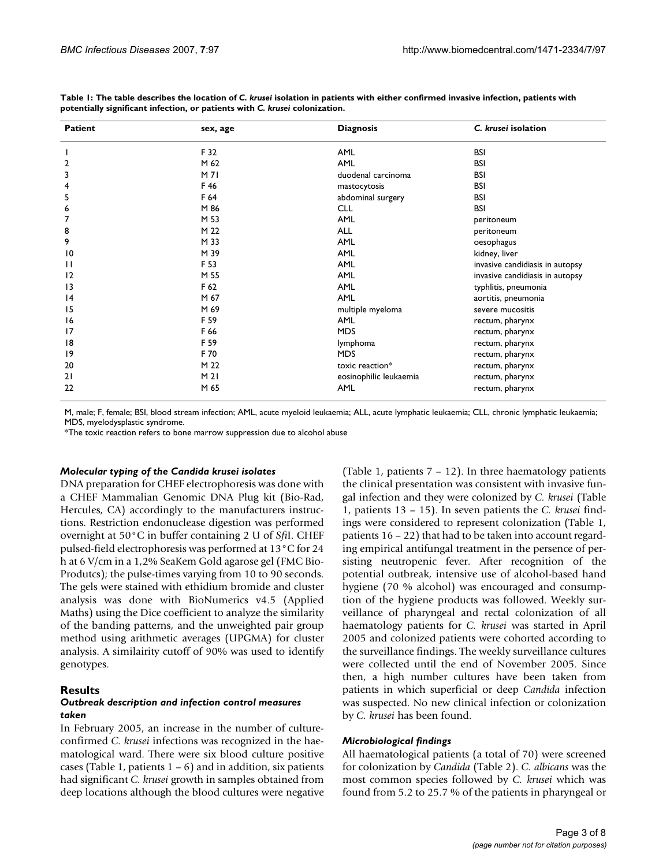| <b>Patient</b>          | sex, age        | <b>Diagnosis</b>       | C. krusei isolation             |
|-------------------------|-----------------|------------------------|---------------------------------|
|                         | F 32            | <b>AML</b>             | <b>BSI</b>                      |
| $\overline{\mathbf{c}}$ | M 62            | AML                    | BSI                             |
| 3                       | M71             | duodenal carcinoma     | BSI                             |
| 4                       | F 46            | mastocytosis           | BSI                             |
| 5                       | F 64            | abdominal surgery      | BSI                             |
| 6                       | M 86            | <b>CLL</b>             | <b>BSI</b>                      |
| 7                       | M 53            | AML                    | peritoneum                      |
| 8                       | M 22            | <b>ALL</b>             | peritoneum                      |
| 9                       | M 33            | <b>AML</b>             | oesophagus                      |
| $\overline{10}$         | M 39            | AML                    | kidney, liver                   |
| $\mathbf{H}$            | F 53            | <b>AML</b>             | invasive candidiasis in autopsy |
| 2                       | M 55            | AML                    | invasive candidiasis in autopsy |
| 13                      | F 62            | AML                    | typhlitis, pneumonia            |
| 4                       | M 67            | <b>AML</b>             | aortitis, pneumonia             |
| 15                      | M 69            | multiple myeloma       | severe mucositis                |
| 16                      | F 59            | AML                    | rectum, pharynx                 |
| 17                      | F 66            | <b>MDS</b>             | rectum, pharynx                 |
| 18                      | F 59            | lymphoma               | rectum, pharynx                 |
| 19                      | F 70            | <b>MDS</b>             | rectum, pharynx                 |
| 20                      | M 22            | toxic reaction*        | rectum, pharynx                 |
| 21                      | M <sub>21</sub> | eosinophilic leukaemia | rectum, pharynx                 |
| 22                      | M 65            | AML                    | rectum, pharynx                 |

Table 1: The table describes the location of *C. krusei* isolation in patients with either confirmed invasive infection, patients with **potentially significant infection, or patients with** *C. krusei* **colonization.** 

M, male; F, female; BSI, blood stream infection; AML, acute myeloid leukaemia; ALL, acute lymphatic leukaemia; CLL, chronic lymphatic leukaemia; MDS, myelodysplastic syndrome.

\*The toxic reaction refers to bone marrow suppression due to alcohol abuse

#### *Molecular typing of the Candida krusei isolates*

DNA preparation for CHEF electrophoresis was done with a CHEF Mammalian Genomic DNA Plug kit (Bio-Rad, Hercules, CA) accordingly to the manufacturers instructions. Restriction endonuclease digestion was performed overnight at 50°C in buffer containing 2 U of *Sfi*I. CHEF pulsed-field electrophoresis was performed at 13°C for 24 h at 6 V/cm in a 1,2% SeaKem Gold agarose gel (FMC Bio-Produtcs); the pulse-times varying from 10 to 90 seconds. The gels were stained with ethidium bromide and cluster analysis was done with BioNumerics v4.5 (Applied Maths) using the Dice coefficient to analyze the similarity of the banding patterns, and the unweighted pair group method using arithmetic averages (UPGMA) for cluster analysis. A similairity cutoff of 90% was used to identify genotypes.

#### **Results**

#### *Outbreak description and infection control measures taken*

In February 2005, an increase in the number of cultureconfirmed *C. krusei* infections was recognized in the haematological ward. There were six blood culture positive cases (Table 1, patients  $1 - 6$ ) and in addition, six patients had significant *C. krusei* growth in samples obtained from deep locations although the blood cultures were negative (Table 1, patients 7 – 12). In three haematology patients the clinical presentation was consistent with invasive fungal infection and they were colonized by *C. krusei* (Table 1, patients 13 – 15). In seven patients the *C. krusei* findings were considered to represent colonization (Table 1, patients 16 – 22) that had to be taken into account regarding empirical antifungal treatment in the persence of persisting neutropenic fever. After recognition of the potential outbreak, intensive use of alcohol-based hand hygiene (70 % alcohol) was encouraged and consumption of the hygiene products was followed. Weekly surveillance of pharyngeal and rectal colonization of all haematology patients for *C. krusei* was started in April 2005 and colonized patients were cohorted according to the surveillance findings. The weekly surveillance cultures were collected until the end of November 2005. Since then, a high number cultures have been taken from patients in which superficial or deep *Candida* infection was suspected. No new clinical infection or colonization by *C. krusei* has been found.

#### *Microbiological findings*

All haematological patients (a total of 70) were screened for colonization by *Candida* (Table 2). *C. albicans* was the most common species followed by *C. krusei* which was found from 5.2 to 25.7 % of the patients in pharyngeal or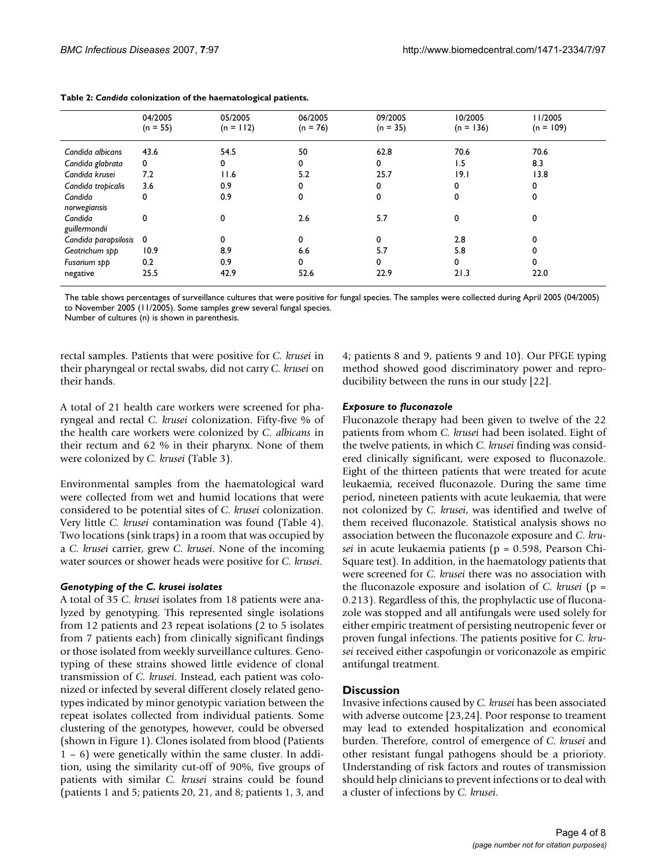|                          | 04/2005<br>$(n = 55)$ | 05/2005<br>$(n = 112)$ | 06/2005<br>$(n = 76)$ | 09/2005<br>$(n = 35)$ | 10/2005<br>$(n = 136)$ | II/2005<br>$(n = 109)$ |
|--------------------------|-----------------------|------------------------|-----------------------|-----------------------|------------------------|------------------------|
| Candida albicans         | 43.6                  | 54.5                   | 50                    | 62.8                  | 70.6                   | 70.6                   |
| Candida glabrata         | 0                     | 0                      | 0                     | 0                     | 1.5                    | 8.3                    |
| Candida krusei           | 7.2                   | 11.6                   | 5.2                   | 25.7                  | 9.1                    | 13.8                   |
| Candida tropicalis       | 3.6                   | 0.9                    | 0                     | 0                     | 0                      | 0                      |
| Candida<br>norwegiansis  | 0                     | 0.9                    | 0                     | 0                     | 0                      | 0                      |
| Candida<br>guillermondii | 0                     | 0                      | 2.6                   | 5.7                   | 0                      | 0                      |
| Candida parapsilosis     | $\mathbf 0$           |                        | 0                     | $\Omega$              | 2.8                    | 0                      |
| Geotrichum spp           | 10.9                  | 8.9                    | 6.6                   | 5.7                   | 5.8                    |                        |
| Fusarium spp             | 0.2                   | 0.9                    | 0                     | 0                     | 0                      | $\Omega$               |
| negative                 | 25.5                  | 42.9                   | 52.6                  | 22.9                  | 21.3                   | 22.0                   |

The table shows percentages of surveillance cultures that were positive for fungal species. The samples were collected during April 2005 (04/2005) to November 2005 (11/2005). Some samples grew several fungal species.

Number of cultures (n) is shown in parenthesis.

rectal samples. Patients that were positive for *C. krusei* in their pharyngeal or rectal swabs, did not carry *C. krusei* on their hands.

A total of 21 health care workers were screened for pharyngeal and rectal *C. krusei* colonization. Fifty-five % of the health care workers were colonized by *C. albicans* in their rectum and 62 % in their pharynx. None of them were colonized by *C. krusei* (Table 3).

Environmental samples from the haematological ward were collected from wet and humid locations that were considered to be potential sites of *C. krusei* colonization. Very little *C. krusei* contamination was found (Table 4). Two locations (sink traps) in a room that was occupied by a *C. krusei* carrier, grew *C. krusei*. None of the incoming water sources or shower heads were positive for *C. krusei*.

# *Genotyping of the C. krusei isolates*

A total of 35 *C. krusei* isolates from 18 patients were analyzed by genotyping. This represented single isolations from 12 patients and 23 repeat isolations (2 to 5 isolates from 7 patients each) from clinically significant findings or those isolated from weekly surveillance cultures. Genotyping of these strains showed little evidence of clonal transmission of *C. krusei*. Instead, each patient was colonized or infected by several different closely related genotypes indicated by minor genotypic variation between the repeat isolates collected from individual patients. Some clustering of the genotypes, however, could be obversed (shown in Figure 1). Clones isolated from blood (Patients 1 – 6) were genetically within the same cluster. In addition, using the similarity cut-off of 90%, five groups of patients with similar *C. krusei* strains could be found (patients 1 and 5; patients 20, 21, and 8; patients 1, 3, and 4; patients 8 and 9, patients 9 and 10). Our PFGE typing method showed good discriminatory power and reproducibility between the runs in our study [22].

#### *Exposure to fluconazole*

Fluconazole therapy had been given to twelve of the 22 patients from whom *C. krusei* had been isolated. Eight of the twelve patients, in which *C. krusei* finding was considered clinically significant, were exposed to fluconazole. Eight of the thirteen patients that were treated for acute leukaemia, received fluconazole. During the same time period, nineteen patients with acute leukaemia, that were not colonized by *C. krusei*, was identified and twelve of them received fluconazole. Statistical analysis shows no association between the fluconazole exposure and *C. krusei* in acute leukaemia patients (p = 0.598, Pearson Chi-Square test). In addition, in the haematology patients that were screened for *C. krusei* there was no association with the fluconazole exposure and isolation of *C. krusei* (p = 0.213). Regardless of this, the prophylactic use of fluconazole was stopped and all antifungals were used solely for either empiric treatment of persisting neutropenic fever or proven fungal infections. The patients positive for *C. krusei* received either caspofungin or voriconazole as empiric antifungal treatment.

# **Discussion**

Invasive infections caused by *C. krusei* has been associated with adverse outcome [23,24]. Poor response to treament may lead to extended hospitalization and economical burden. Therefore, control of emergence of *C. krusei* and other resistant fungal pathogens should be a priorioty. Understanding of risk factors and routes of transmission should help clinicians to prevent infections or to deal with a cluster of infections by *C. krusei*.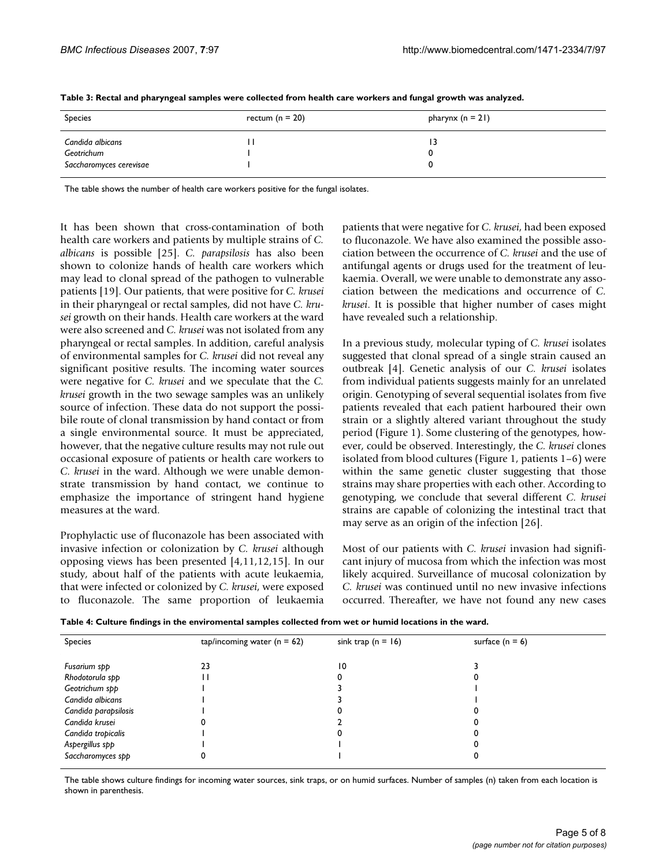| Species                                                   | rectum ( $n = 20$ ) | pharynx $(n = 21)$ |
|-----------------------------------------------------------|---------------------|--------------------|
| Candida albicans<br>Geotrichum<br>Saccharomyces cerevisae |                     | ا ئا               |

**Table 3: Rectal and pharyngeal samples were collected from health care workers and fungal growth was analyzed.**

The table shows the number of health care workers positive for the fungal isolates.

It has been shown that cross-contamination of both health care workers and patients by multiple strains of *C. albicans* is possible [25]. *C. parapsilosis* has also been shown to colonize hands of health care workers which may lead to clonal spread of the pathogen to vulnerable patients [19]. Our patients, that were positive for *C. krusei* in their pharyngeal or rectal samples, did not have *C. krusei* growth on their hands. Health care workers at the ward were also screened and *C. krusei* was not isolated from any pharyngeal or rectal samples. In addition, careful analysis of environmental samples for *C. krusei* did not reveal any significant positive results. The incoming water sources were negative for *C. krusei* and we speculate that the *C. krusei* growth in the two sewage samples was an unlikely source of infection. These data do not support the possibile route of clonal transmission by hand contact or from a single environmental source. It must be appreciated, however, that the negative culture results may not rule out occasional exposure of patients or health care workers to *C. krusei* in the ward. Although we were unable demonstrate transmission by hand contact, we continue to emphasize the importance of stringent hand hygiene measures at the ward.

Prophylactic use of fluconazole has been associated with invasive infection or colonization by *C. krusei* although opposing views has been presented [4,11,12,15]. In our study, about half of the patients with acute leukaemia, that were infected or colonized by *C. krusei*, were exposed to fluconazole. The same proportion of leukaemia patients that were negative for *C. krusei*, had been exposed to fluconazole. We have also examined the possible association between the occurrence of *C. krusei* and the use of antifungal agents or drugs used for the treatment of leukaemia. Overall, we were unable to demonstrate any association between the medications and occurrence of *C. krusei*. It is possible that higher number of cases might have revealed such a relationship.

In a previous study, molecular typing of *C. krusei* isolates suggested that clonal spread of a single strain caused an outbreak [4]. Genetic analysis of our *C. krusei* isolates from individual patients suggests mainly for an unrelated origin. Genotyping of several sequential isolates from five patients revealed that each patient harboured their own strain or a slightly altered variant throughout the study period (Figure 1). Some clustering of the genotypes, however, could be observed. Interestingly, the *C. krusei* clones isolated from blood cultures (Figure 1, patients 1–6) were within the same genetic cluster suggesting that those strains may share properties with each other. According to genotyping, we conclude that several different *C. krusei* strains are capable of colonizing the intestinal tract that may serve as an origin of the infection [26].

Most of our patients with *C. krusei* invasion had significant injury of mucosa from which the infection was most likely acquired. Surveillance of mucosal colonization by *C. krusei* was continued until no new invasive infections occurred. Thereafter, we have not found any new cases

| Species              | tap/incoming water ( $n = 62$ ) | sink trap ( $n = 16$ ) | surface $(n = 6)$ |
|----------------------|---------------------------------|------------------------|-------------------|
| Fusarium spp         | 23                              | 10                     |                   |
| Rhodotorula spp      |                                 |                        |                   |
| Geotrichum spp       |                                 |                        |                   |
| Candida albicans     |                                 |                        |                   |
| Candida parapsilosis |                                 |                        |                   |
| Candida krusei       |                                 |                        |                   |
| Candida tropicalis   |                                 |                        |                   |
| Aspergillus spp      |                                 |                        |                   |
| Saccharomyces spp    |                                 |                        |                   |

The table shows culture findings for incoming water sources, sink traps, or on humid surfaces. Number of samples (n) taken from each location is shown in parenthesis.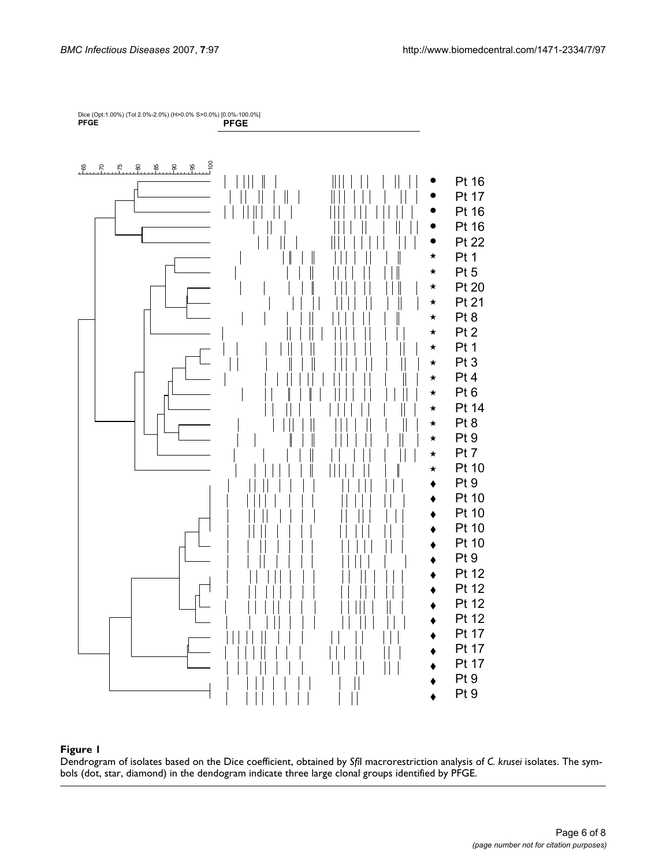

#### Dendrogram of isolates based on th **Figure 1** e Dice coefficient, obtained by *Sfi*I macrorestriction analysis of *C. krusei* isolates

Dendrogram of isolates based on the Dice coefficient, obtained by *Sfi*I macrorestriction analysis of *C. krusei* isolates. The symbols (dot, star, diamond) in the dendogram indicate three large clonal groups identified by PFGE.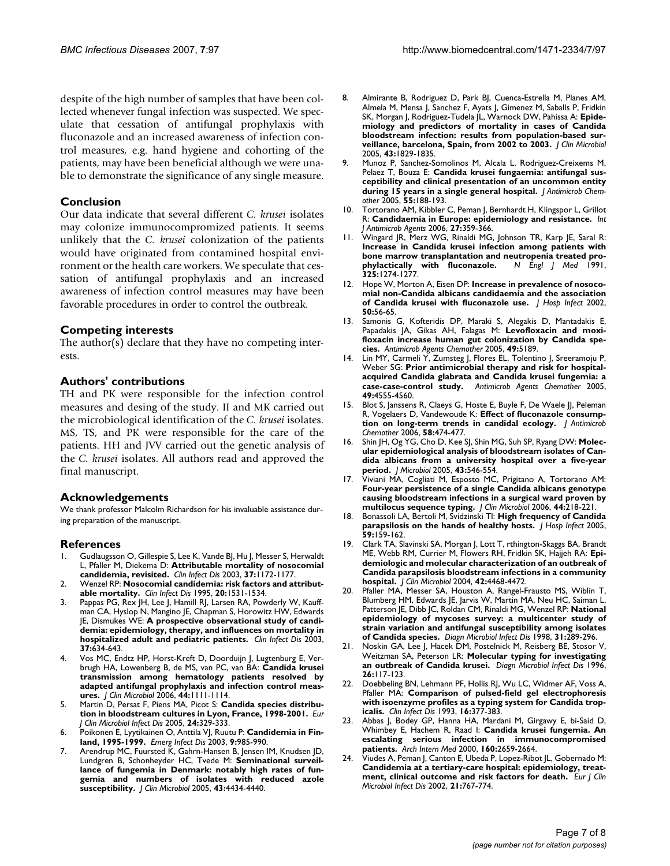despite of the high number of samples that have been collected whenever fungal infection was suspected. We speculate that cessation of antifungal prophylaxis with fluconazole and an increased awareness of infection control measures, e.g. hand hygiene and cohorting of the patients, may have been beneficial although we were unable to demonstrate the significance of any single measure.

### **Conclusion**

Our data indicate that several different *C. krusei* isolates may colonize immunocompromized patients. It seems unlikely that the *C. krusei* colonization of the patients would have originated from contamined hospital environment or the health care workers. We speculate that cessation of antifungal prophylaxis and an increased awareness of infection control measures may have been favorable procedures in order to control the outbreak.

#### **Competing interests**

The author(s) declare that they have no competing interests.

#### **Authors' contributions**

TH and PK were responsible for the infection control measures and desing of the study. II and MK carried out the microbiological identification of the *C. krusei* isolates. MS, TS, and PK were responsible for the care of the patients. HH and JVV carried out the genetic analysis of the *C. krusei* isolates. All authors read and approved the final manuscript.

#### **Acknowledgements**

We thank professor Malcolm Richardson for his invaluable assistance during preparation of the manuscript.

#### **References**

- 1. Gudlaugsson O, Gillespie S, Lee K, Vande BJ, Hu J, Messer S, Herwaldt L, Pfaller M, Diekema D: **[Attributable mortality of nosocomial](http://www.ncbi.nlm.nih.gov/entrez/query.fcgi?cmd=Retrieve&db=PubMed&dopt=Abstract&list_uids=14557960) [candidemia, revisited.](http://www.ncbi.nlm.nih.gov/entrez/query.fcgi?cmd=Retrieve&db=PubMed&dopt=Abstract&list_uids=14557960)** *Clin Infect Dis* 2003, **37:**1172-1177.
- 2. Wenzel RP: **[Nosocomial candidemia: risk factors and attribut](http://www.ncbi.nlm.nih.gov/entrez/query.fcgi?cmd=Retrieve&db=PubMed&dopt=Abstract&list_uids=7548504)[able mortality.](http://www.ncbi.nlm.nih.gov/entrez/query.fcgi?cmd=Retrieve&db=PubMed&dopt=Abstract&list_uids=7548504)** *Clin Infect Dis* 1995, **20:**1531-1534.
- 3. Pappas PG, Rex JH, Lee J, Hamill RJ, Larsen RA, Powderly W, Kauffman CA, Hyslop N, Mangino JE, Chapman S, Horowitz HW, Edwards JE, Dismukes WE: **[A prospective observational study of candi](http://www.ncbi.nlm.nih.gov/entrez/query.fcgi?cmd=Retrieve&db=PubMed&dopt=Abstract&list_uids=12942393)[demia: epidemiology, therapy, and influences on mortality in](http://www.ncbi.nlm.nih.gov/entrez/query.fcgi?cmd=Retrieve&db=PubMed&dopt=Abstract&list_uids=12942393) [hospitalized adult and pediatric patients.](http://www.ncbi.nlm.nih.gov/entrez/query.fcgi?cmd=Retrieve&db=PubMed&dopt=Abstract&list_uids=12942393)** *Clin Infect Dis* 2003, **37:**634-643.
- 4. Vos MC, Endtz HP, Horst-Kreft D, Doorduijn J, Lugtenburg E, Verbrugh HA, Lowenberg B, de MS, van PC, van BA: **[Candida krusei](http://www.ncbi.nlm.nih.gov/entrez/query.fcgi?cmd=Retrieve&db=PubMed&dopt=Abstract&list_uids=16517907) transmission among hematology patients resolved by [adapted antifungal prophylaxis and infection control meas](http://www.ncbi.nlm.nih.gov/entrez/query.fcgi?cmd=Retrieve&db=PubMed&dopt=Abstract&list_uids=16517907)[ures.](http://www.ncbi.nlm.nih.gov/entrez/query.fcgi?cmd=Retrieve&db=PubMed&dopt=Abstract&list_uids=16517907)** *J Clin Microbiol* 2006, **44:**1111-1114.
- 5. Martin D, Persat F, Piens MA, Picot S: **[Candida species distribu](http://www.ncbi.nlm.nih.gov/entrez/query.fcgi?cmd=Retrieve&db=PubMed&dopt=Abstract&list_uids=15856138)[tion in bloodstream cultures in Lyon, France, 1998-2001.](http://www.ncbi.nlm.nih.gov/entrez/query.fcgi?cmd=Retrieve&db=PubMed&dopt=Abstract&list_uids=15856138)** *Eur J Clin Microbiol Infect Dis* 2005, **24:**329-333.
- 6. Poikonen E, Lyytikainen O, Anttila VJ, Ruutu P: **[Candidemia in Fin](http://www.ncbi.nlm.nih.gov/entrez/query.fcgi?cmd=Retrieve&db=PubMed&dopt=Abstract&list_uids=12967498)[land, 1995-1999.](http://www.ncbi.nlm.nih.gov/entrez/query.fcgi?cmd=Retrieve&db=PubMed&dopt=Abstract&list_uids=12967498)** *Emerg Infect Dis* 2003, **9:**985-990.
- 7. Arendrup MC, Fuursted K, Gahrn-Hansen B, Jensen IM, Knudsen JD, Lundgren B, Schonheyder HC, Tvede M: **[Seminational surveil](http://www.ncbi.nlm.nih.gov/entrez/query.fcgi?cmd=Retrieve&db=PubMed&dopt=Abstract&list_uids=16145088)lance of fungemia in Denmark: notably high rates of fun[gemia and numbers of isolates with reduced azole](http://www.ncbi.nlm.nih.gov/entrez/query.fcgi?cmd=Retrieve&db=PubMed&dopt=Abstract&list_uids=16145088) [susceptibility.](http://www.ncbi.nlm.nih.gov/entrez/query.fcgi?cmd=Retrieve&db=PubMed&dopt=Abstract&list_uids=16145088)** *J Clin Microbiol* 2005, **43:**4434-4440.
- 8. Almirante B, Rodriguez D, Park BJ, Cuenca-Estrella M, Planes AM, Almela M, Mensa J, Sanchez F, Ayats J, Gimenez M, Saballs P, Fridkin SK, Morgan J, Rodriguez-Tudela JL, Warnock DW, Pahissa A: **[Epide](http://www.ncbi.nlm.nih.gov/entrez/query.fcgi?cmd=Retrieve&db=PubMed&dopt=Abstract&list_uids=15815004)miology and predictors of mortality in cases of Candida [bloodstream infection: results from population-based sur](http://www.ncbi.nlm.nih.gov/entrez/query.fcgi?cmd=Retrieve&db=PubMed&dopt=Abstract&list_uids=15815004)[veillance, barcelona, Spain, from 2002 to 2003.](http://www.ncbi.nlm.nih.gov/entrez/query.fcgi?cmd=Retrieve&db=PubMed&dopt=Abstract&list_uids=15815004)** *J Clin Microbiol* 2005, **43:**1829-1835.
- 9. Munoz P, Sanchez-Somolinos M, Alcala L, Rodriguez-Creixems M, Pelaez T, Bouza E: **[Candida krusei fungaemia: antifungal sus](http://www.ncbi.nlm.nih.gov/entrez/query.fcgi?cmd=Retrieve&db=PubMed&dopt=Abstract&list_uids=15650001)[ceptibility and clinical presentation of an uncommon entity](http://www.ncbi.nlm.nih.gov/entrez/query.fcgi?cmd=Retrieve&db=PubMed&dopt=Abstract&list_uids=15650001) [during 15 years in a single general hospital.](http://www.ncbi.nlm.nih.gov/entrez/query.fcgi?cmd=Retrieve&db=PubMed&dopt=Abstract&list_uids=15650001)** *J Antimicrob Chemother* 2005, **55:**188-193.
- 10. Tortorano AM, Kibbler C, Peman J, Bernhardt H, Klingspor L, Grillot R: **[Candidaemia in Europe: epidemiology and resistance.](http://www.ncbi.nlm.nih.gov/entrez/query.fcgi?cmd=Retrieve&db=PubMed&dopt=Abstract&list_uids=16647248)** *Int J Antimicrob Agents* 2006, **27:**359-366.
- 11. Wingard JR, Merz WG, Rinaldi MG, Johnson TR, Karp JE, Saral R: **Increase in Candida krusei infection among patients with bone marrow transplantation and neutropenia treated pro-<br>
<b>phylactically** with fluconazole. N Engl J Med 1991, [phylactically with fluconazole.](http://www.ncbi.nlm.nih.gov/entrez/query.fcgi?cmd=Retrieve&db=PubMed&dopt=Abstract&list_uids=1669837) **325:**1274-1277.
- 12. Hope W, Morton A, Eisen DP: **[Increase in prevalence of nosoco](http://www.ncbi.nlm.nih.gov/entrez/query.fcgi?cmd=Retrieve&db=PubMed&dopt=Abstract&list_uids=11825053)[mial non-Candida albicans candidaemia and the association](http://www.ncbi.nlm.nih.gov/entrez/query.fcgi?cmd=Retrieve&db=PubMed&dopt=Abstract&list_uids=11825053) [of Candida krusei with fluconazole use.](http://www.ncbi.nlm.nih.gov/entrez/query.fcgi?cmd=Retrieve&db=PubMed&dopt=Abstract&list_uids=11825053)** *J Hosp Infect* 2002, **50:**56-65.
- 13. Samonis G, Kofteridis DP, Maraki S, Alegakis D, Mantadakis E, Papadakis JA, Gikas AH, Falagas M: **[Levofloxacin and moxi](http://www.ncbi.nlm.nih.gov/entrez/query.fcgi?cmd=Retrieve&db=PubMed&dopt=Abstract&list_uids=16304202)[floxacin increase human gut colonization by Candida spe](http://www.ncbi.nlm.nih.gov/entrez/query.fcgi?cmd=Retrieve&db=PubMed&dopt=Abstract&list_uids=16304202)[cies.](http://www.ncbi.nlm.nih.gov/entrez/query.fcgi?cmd=Retrieve&db=PubMed&dopt=Abstract&list_uids=16304202)** *Antimicrob Agents Chemother* 2005, **49:**5189.
- 14. Lin MY, Carmeli Y, Zumsteg J, Flores EL, Tolentino J, Sreeramoju P, Weber SG: **[Prior antimicrobial therapy and risk for hospital](http://www.ncbi.nlm.nih.gov/entrez/query.fcgi?cmd=Retrieve&db=PubMed&dopt=Abstract&list_uids=16251295)[acquired Candida glabrata and Candida krusei fungemia: a](http://www.ncbi.nlm.nih.gov/entrez/query.fcgi?cmd=Retrieve&db=PubMed&dopt=Abstract&list_uids=16251295) [case-case-control study.](http://www.ncbi.nlm.nih.gov/entrez/query.fcgi?cmd=Retrieve&db=PubMed&dopt=Abstract&list_uids=16251295)** *Antimicrob Agents Chemother* 2005, **49:**4555-4560.
- 15. Blot S, Janssens R, Claeys G, Hoste E, Buyle F, De Waele JJ, Peleman R, Vogelaers D, Vandewoude K: **[Effect of fluconazole consump](http://www.ncbi.nlm.nih.gov/entrez/query.fcgi?cmd=Retrieve&db=PubMed&dopt=Abstract&list_uids=16757503)[tion on long-term trends in candidal ecology.](http://www.ncbi.nlm.nih.gov/entrez/query.fcgi?cmd=Retrieve&db=PubMed&dopt=Abstract&list_uids=16757503)** *J Antimicrob Chemother* 2006, **58:**474-477.
- 16. Shin JH, Og YG, Cho D, Kee SJ, Shin MG, Suh SP, Ryang DW: **[Molec](http://www.ncbi.nlm.nih.gov/entrez/query.fcgi?cmd=Retrieve&db=PubMed&dopt=Abstract&list_uids=16410772)ular epidemiological analysis of bloodstream isolates of Can[dida albicans from a university hospital over a five-year](http://www.ncbi.nlm.nih.gov/entrez/query.fcgi?cmd=Retrieve&db=PubMed&dopt=Abstract&list_uids=16410772) [period.](http://www.ncbi.nlm.nih.gov/entrez/query.fcgi?cmd=Retrieve&db=PubMed&dopt=Abstract&list_uids=16410772)** *J Microbiol* 2005, **43:**546-554.
- 17. Viviani MA, Cogliati M, Esposto MC, Prigitano A, Tortorano AM: **Four-year persistence of a single Candida albicans genotype [causing bloodstream infections in a surgical ward proven by](http://www.ncbi.nlm.nih.gov/entrez/query.fcgi?cmd=Retrieve&db=PubMed&dopt=Abstract&list_uids=16390973) [multilocus sequence typing.](http://www.ncbi.nlm.nih.gov/entrez/query.fcgi?cmd=Retrieve&db=PubMed&dopt=Abstract&list_uids=16390973)** *J Clin Microbiol* 2006, **44:**218-221.
- 18. Bonassoli LA, Bertoli M, Svidzinski TI: **[High frequency of Candida](http://www.ncbi.nlm.nih.gov/entrez/query.fcgi?cmd=Retrieve&db=PubMed&dopt=Abstract&list_uids=15620452) [parapsilosis on the hands of healthy hosts.](http://www.ncbi.nlm.nih.gov/entrez/query.fcgi?cmd=Retrieve&db=PubMed&dopt=Abstract&list_uids=15620452)** *J Hosp Infect* 2005, **59:**159-162.
- 19. Clark TA, Slavinski SA, Morgan J, Lott T, rthington-Skaggs BA, Brandt ME, Webb RM, Currier M, Flowers RH, Fridkin SK, Hajjeh RA: **[Epi](http://www.ncbi.nlm.nih.gov/entrez/query.fcgi?cmd=Retrieve&db=PubMed&dopt=Abstract&list_uids=15472295)demiologic and molecular characterization of an outbreak of [Candida parapsilosis bloodstream infections in a community](http://www.ncbi.nlm.nih.gov/entrez/query.fcgi?cmd=Retrieve&db=PubMed&dopt=Abstract&list_uids=15472295) [hospital.](http://www.ncbi.nlm.nih.gov/entrez/query.fcgi?cmd=Retrieve&db=PubMed&dopt=Abstract&list_uids=15472295)** *J Clin Microbiol* 2004, **42:**4468-4472.
- 20. Pfaller MA, Messer SA, Houston A, Rangel-Frausto MS, Wiblin T, Blumberg HM, Edwards JE, Jarvis W, Martin MA, Neu HC, Saiman L, Patterson JE, Dibb JC, Roldan CM, Rinaldi MG, Wenzel RP: **[National](http://www.ncbi.nlm.nih.gov/entrez/query.fcgi?cmd=Retrieve&db=PubMed&dopt=Abstract&list_uids=9597389) epidemiology of mycoses survey: a multicenter study of [strain variation and antifungal susceptibility among isolates](http://www.ncbi.nlm.nih.gov/entrez/query.fcgi?cmd=Retrieve&db=PubMed&dopt=Abstract&list_uids=9597389) [of Candida species.](http://www.ncbi.nlm.nih.gov/entrez/query.fcgi?cmd=Retrieve&db=PubMed&dopt=Abstract&list_uids=9597389)** *Diagn Microbiol Infect Dis* 1998, **31:**289-296.
- Noskin GA, Lee J, Hacek DM, Postelnick M, Reisberg BE, Stosor V, Weitzman SA, Peterson LR: **[Molecular typing for investigating](http://www.ncbi.nlm.nih.gov/entrez/query.fcgi?cmd=Retrieve&db=PubMed&dopt=Abstract&list_uids=9078446) [an outbreak of Candida krusei.](http://www.ncbi.nlm.nih.gov/entrez/query.fcgi?cmd=Retrieve&db=PubMed&dopt=Abstract&list_uids=9078446)** *Diagn Microbiol Infect Dis* 1996, **26:**117-123.
- 22. Doebbeling BN, Lehmann PF, Hollis RJ, Wu LC, Widmer AF, Voss A, Pfaller MA: **[Comparison of pulsed-field gel electrophoresis](http://www.ncbi.nlm.nih.gov/entrez/query.fcgi?cmd=Retrieve&db=PubMed&dopt=Abstract&list_uids=8095814) [with isoenzyme profiles as a typing system for Candida trop](http://www.ncbi.nlm.nih.gov/entrez/query.fcgi?cmd=Retrieve&db=PubMed&dopt=Abstract&list_uids=8095814)[icalis.](http://www.ncbi.nlm.nih.gov/entrez/query.fcgi?cmd=Retrieve&db=PubMed&dopt=Abstract&list_uids=8095814)** *Clin Infect Dis* 1993, **16:**377-383.
- 23. Abbas J, Bodey GP, Hanna HA, Mardani M, Girgawy E, bi-Said D, Whimbey E, Hachem R, Raad I: **[Candida krusei fungemia. An](http://www.ncbi.nlm.nih.gov/entrez/query.fcgi?cmd=Retrieve&db=PubMed&dopt=Abstract&list_uids=10999981) [escalating serious infection in immunocompromised](http://www.ncbi.nlm.nih.gov/entrez/query.fcgi?cmd=Retrieve&db=PubMed&dopt=Abstract&list_uids=10999981) [patients.](http://www.ncbi.nlm.nih.gov/entrez/query.fcgi?cmd=Retrieve&db=PubMed&dopt=Abstract&list_uids=10999981)** *Arch Intern Med* 2000, **160:**2659-2664.
- 24. Viudes A, Peman J, Canton E, Ubeda P, Lopez-Ribot JL, Gobernado M: **[Candidemia at a tertiary-care hospital: epidemiology, treat](http://www.ncbi.nlm.nih.gov/entrez/query.fcgi?cmd=Retrieve&db=PubMed&dopt=Abstract&list_uids=12461585)[ment, clinical outcome and risk factors for death.](http://www.ncbi.nlm.nih.gov/entrez/query.fcgi?cmd=Retrieve&db=PubMed&dopt=Abstract&list_uids=12461585)** *Eur J Clin Microbiol Infect Dis* 2002, **21:**767-774.